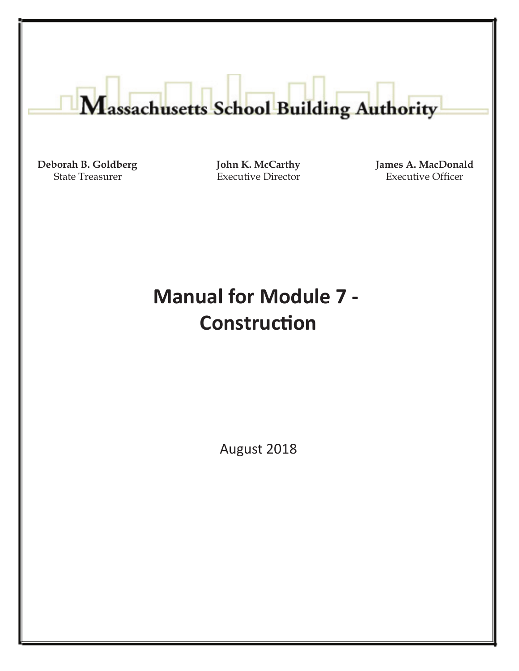# Massachusetts School Building Authority

**Deborah B. Goldberg** State Treasurer

**John K. McCarthy** Executive Director

**James A. MacDonald** Executive Officer

# **Manual for Module 7 - Construction**

August 2018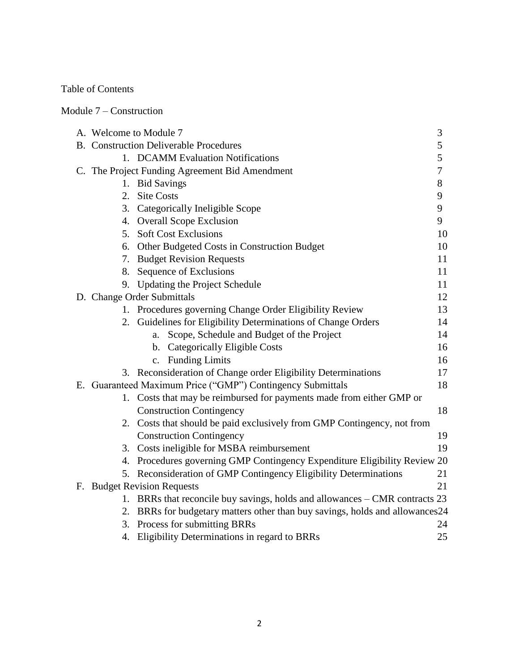Table of Contents

Module 7 – Construction

| A. Welcome to Module 7 |                                                                               | 3      |
|------------------------|-------------------------------------------------------------------------------|--------|
|                        | <b>B.</b> Construction Deliverable Procedures                                 | 5      |
|                        | 1. DCAMM Evaluation Notifications                                             | 5      |
|                        | C. The Project Funding Agreement Bid Amendment                                | $\tau$ |
| 1.                     | <b>Bid Savings</b>                                                            | 8      |
|                        | 2. Site Costs                                                                 | 9      |
|                        | 3. Categorically Ineligible Scope                                             | 9      |
|                        | 4. Overall Scope Exclusion                                                    | 9      |
|                        | 5. Soft Cost Exclusions                                                       | 10     |
|                        | 6. Other Budgeted Costs in Construction Budget                                | 10     |
|                        | 7. Budget Revision Requests                                                   | 11     |
|                        | 8. Sequence of Exclusions                                                     | 11     |
| 9.                     | Updating the Project Schedule                                                 | 11     |
|                        | D. Change Order Submittals                                                    | 12     |
|                        | 1. Procedures governing Change Order Eligibility Review                       | 13     |
| 2.                     | Guidelines for Eligibility Determinations of Change Orders                    | 14     |
|                        | Scope, Schedule and Budget of the Project<br>a.                               | 14     |
|                        | b. Categorically Eligible Costs                                               | 16     |
|                        | c. Funding Limits                                                             | 16     |
|                        | 3. Reconsideration of Change order Eligibility Determinations                 | 17     |
|                        | E. Guaranteed Maximum Price ("GMP") Contingency Submittals                    | 18     |
|                        | 1. Costs that may be reimbursed for payments made from either GMP or          |        |
|                        | <b>Construction Contingency</b>                                               | 18     |
|                        | 2. Costs that should be paid exclusively from GMP Contingency, not from       |        |
|                        | <b>Construction Contingency</b>                                               | 19     |
|                        | 3. Costs ineligible for MSBA reimbursement                                    | 19     |
|                        | 4. Procedures governing GMP Contingency Expenditure Eligibility Review 20     |        |
|                        | 5. Reconsideration of GMP Contingency Eligibility Determinations              | 21     |
|                        | F. Budget Revision Requests                                                   | 21     |
|                        | 1. BRRs that reconcile buy savings, holds and allowances – CMR contracts 23   |        |
|                        | 2. BRRs for budgetary matters other than buy savings, holds and allowances 24 |        |
|                        | 3. Process for submitting BRRs                                                | 24     |
| 4.                     | Eligibility Determinations in regard to BRRs                                  | 25     |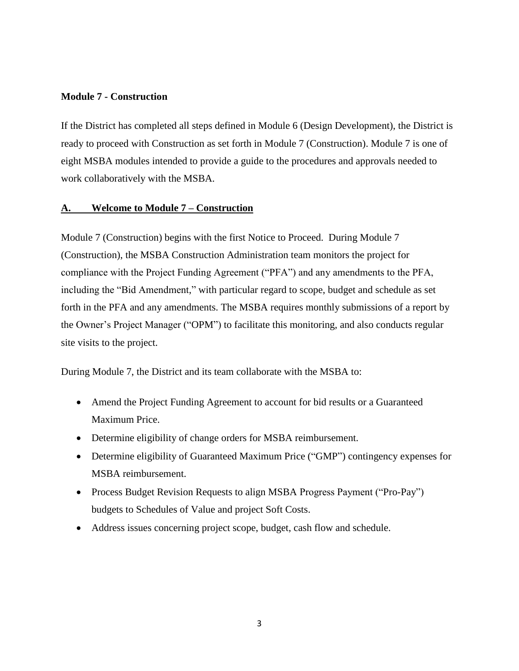#### **Module 7 - Construction**

If the District has completed all steps defined in Module 6 (Design Development), the District is ready to proceed with Construction as set forth in Module 7 (Construction). Module 7 is one of eight MSBA modules intended to provide a guide to the procedures and approvals needed to work collaboratively with the MSBA.

#### **A. Welcome to Module 7 – Construction**

Module 7 (Construction) begins with the first Notice to Proceed. During Module 7 (Construction), the MSBA Construction Administration team monitors the project for compliance with the Project Funding Agreement ("PFA") and any amendments to the PFA, including the "Bid Amendment," with particular regard to scope, budget and schedule as set forth in the PFA and any amendments. The MSBA requires monthly submissions of a report by the Owner's Project Manager ("OPM") to facilitate this monitoring, and also conducts regular site visits to the project.

During Module 7, the District and its team collaborate with the MSBA to:

- Amend the Project Funding Agreement to account for bid results or a Guaranteed Maximum Price.
- Determine eligibility of change orders for MSBA reimbursement.
- Determine eligibility of Guaranteed Maximum Price ("GMP") contingency expenses for MSBA reimbursement.
- Process Budget Revision Requests to align MSBA Progress Payment ("Pro-Pay") budgets to Schedules of Value and project Soft Costs.
- Address issues concerning project scope, budget, cash flow and schedule.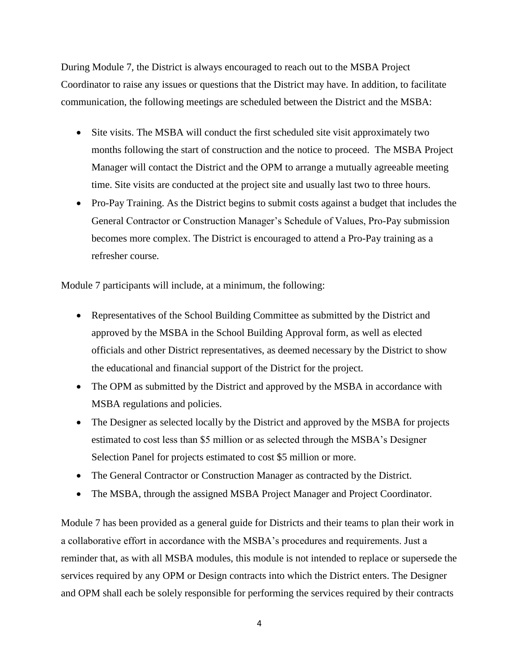During Module 7, the District is always encouraged to reach out to the MSBA Project Coordinator to raise any issues or questions that the District may have. In addition, to facilitate communication, the following meetings are scheduled between the District and the MSBA:

- Site visits. The MSBA will conduct the first scheduled site visit approximately two months following the start of construction and the notice to proceed. The MSBA Project Manager will contact the District and the OPM to arrange a mutually agreeable meeting time. Site visits are conducted at the project site and usually last two to three hours.
- Pro-Pay Training. As the District begins to submit costs against a budget that includes the General Contractor or Construction Manager's Schedule of Values, Pro-Pay submission becomes more complex. The District is encouraged to attend a Pro-Pay training as a refresher course.

Module 7 participants will include, at a minimum, the following:

- Representatives of the School Building Committee as submitted by the District and approved by the MSBA in the School Building Approval form, as well as elected officials and other District representatives, as deemed necessary by the District to show the educational and financial support of the District for the project.
- The OPM as submitted by the District and approved by the MSBA in accordance with MSBA regulations and policies.
- The Designer as selected locally by the District and approved by the MSBA for projects estimated to cost less than \$5 million or as selected through the MSBA's Designer Selection Panel for projects estimated to cost \$5 million or more.
- The General Contractor or Construction Manager as contracted by the District.
- The MSBA, through the assigned MSBA Project Manager and Project Coordinator.

Module 7 has been provided as a general guide for Districts and their teams to plan their work in a collaborative effort in accordance with the MSBA's procedures and requirements. Just a reminder that, as with all MSBA modules, this module is not intended to replace or supersede the services required by any OPM or Design contracts into which the District enters. The Designer and OPM shall each be solely responsible for performing the services required by their contracts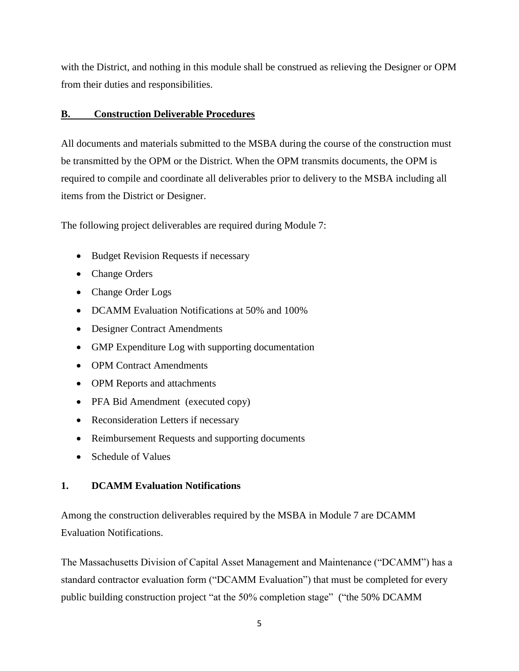with the District, and nothing in this module shall be construed as relieving the Designer or OPM from their duties and responsibilities.

#### **B. Construction Deliverable Procedures**

All documents and materials submitted to the MSBA during the course of the construction must be transmitted by the OPM or the District. When the OPM transmits documents, the OPM is required to compile and coordinate all deliverables prior to delivery to the MSBA including all items from the District or Designer.

The following project deliverables are required during Module 7:

- Budget Revision Requests if necessary
- Change Orders
- Change Order Logs
- DCAMM Evaluation Notifications at 50% and 100%
- Designer Contract Amendments
- GMP Expenditure Log with supporting documentation
- OPM Contract Amendments
- OPM Reports and attachments
- PFA Bid Amendment (executed copy)
- Reconsideration Letters if necessary
- Reimbursement Requests and supporting documents
- Schedule of Values

#### **1. DCAMM Evaluation Notifications**

Among the construction deliverables required by the MSBA in Module 7 are DCAMM Evaluation Notifications.

The Massachusetts Division of Capital Asset Management and Maintenance ("DCAMM") has a standard contractor evaluation form ("DCAMM Evaluation") that must be completed for every public building construction project "at the 50% completion stage" ("the 50% DCAMM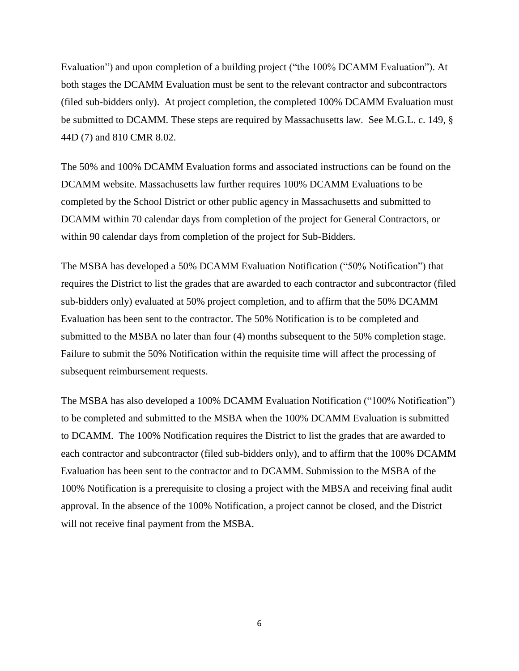Evaluation") and upon completion of a building project ("the 100% DCAMM Evaluation"). At both stages the DCAMM Evaluation must be sent to the relevant contractor and subcontractors (filed sub-bidders only). At project completion, the completed 100% DCAMM Evaluation must be submitted to DCAMM. These steps are required by Massachusetts law. See M.G.L. c. 149, § 44D (7) and 810 CMR 8.02.

The 50% and 100% DCAMM Evaluation forms and associated instructions can be found on the DCAMM website. Massachusetts law further requires 100% DCAMM Evaluations to be completed by the School District or other public agency in Massachusetts and submitted to DCAMM within 70 calendar days from completion of the project for General Contractors, or within 90 calendar days from completion of the project for Sub-Bidders.

The MSBA has developed a 50% DCAMM Evaluation Notification ("50% Notification") that requires the District to list the grades that are awarded to each contractor and subcontractor (filed sub-bidders only) evaluated at 50% project completion, and to affirm that the 50% DCAMM Evaluation has been sent to the contractor. The 50% Notification is to be completed and submitted to the MSBA no later than four (4) months subsequent to the 50% completion stage. Failure to submit the 50% Notification within the requisite time will affect the processing of subsequent reimbursement requests.

The MSBA has also developed a 100% DCAMM Evaluation Notification ("100% Notification") to be completed and submitted to the MSBA when the 100% DCAMM Evaluation is submitted to DCAMM. The 100% Notification requires the District to list the grades that are awarded to each contractor and subcontractor (filed sub-bidders only), and to affirm that the 100% DCAMM Evaluation has been sent to the contractor and to DCAMM. Submission to the MSBA of the 100% Notification is a prerequisite to closing a project with the MBSA and receiving final audit approval. In the absence of the 100% Notification, a project cannot be closed, and the District will not receive final payment from the MSBA.

6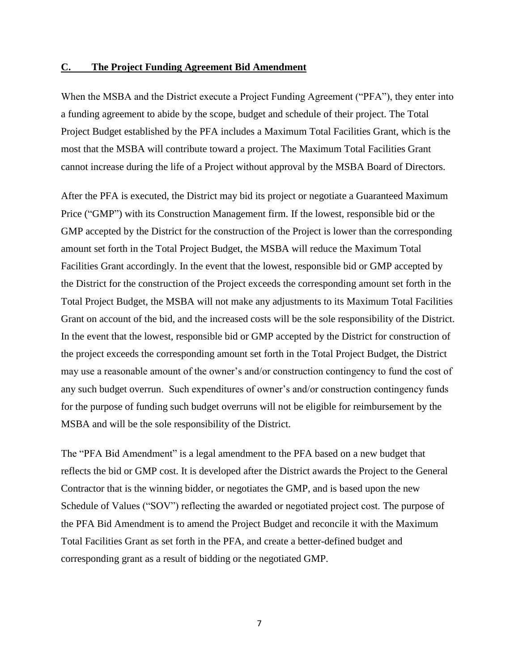#### **C. The Project Funding Agreement Bid Amendment**

When the MSBA and the District execute a Project Funding Agreement ("PFA"), they enter into a funding agreement to abide by the scope, budget and schedule of their project. The Total Project Budget established by the PFA includes a Maximum Total Facilities Grant, which is the most that the MSBA will contribute toward a project. The Maximum Total Facilities Grant cannot increase during the life of a Project without approval by the MSBA Board of Directors.

After the PFA is executed, the District may bid its project or negotiate a Guaranteed Maximum Price ("GMP") with its Construction Management firm. If the lowest, responsible bid or the GMP accepted by the District for the construction of the Project is lower than the corresponding amount set forth in the Total Project Budget, the MSBA will reduce the Maximum Total Facilities Grant accordingly. In the event that the lowest, responsible bid or GMP accepted by the District for the construction of the Project exceeds the corresponding amount set forth in the Total Project Budget, the MSBA will not make any adjustments to its Maximum Total Facilities Grant on account of the bid, and the increased costs will be the sole responsibility of the District. In the event that the lowest, responsible bid or GMP accepted by the District for construction of the project exceeds the corresponding amount set forth in the Total Project Budget, the District may use a reasonable amount of the owner's and/or construction contingency to fund the cost of any such budget overrun. Such expenditures of owner's and/or construction contingency funds for the purpose of funding such budget overruns will not be eligible for reimbursement by the MSBA and will be the sole responsibility of the District.

The "PFA Bid Amendment" is a legal amendment to the PFA based on a new budget that reflects the bid or GMP cost. It is developed after the District awards the Project to the General Contractor that is the winning bidder, or negotiates the GMP, and is based upon the new Schedule of Values ("SOV") reflecting the awarded or negotiated project cost. The purpose of the PFA Bid Amendment is to amend the Project Budget and reconcile it with the Maximum Total Facilities Grant as set forth in the PFA, and create a better-defined budget and corresponding grant as a result of bidding or the negotiated GMP.

7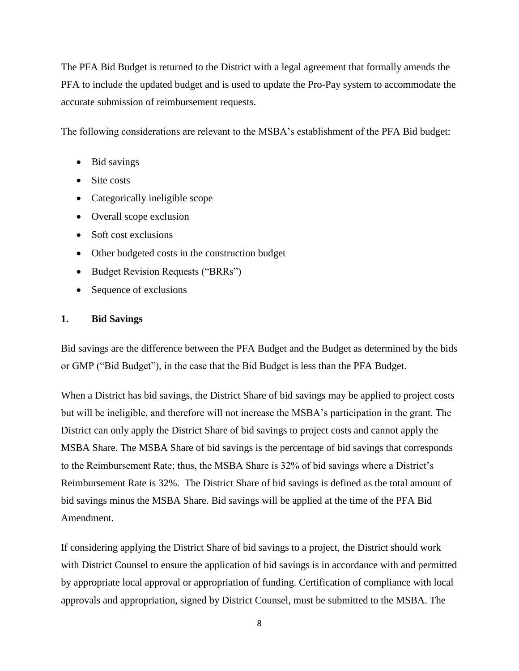The PFA Bid Budget is returned to the District with a legal agreement that formally amends the PFA to include the updated budget and is used to update the Pro-Pay system to accommodate the accurate submission of reimbursement requests.

The following considerations are relevant to the MSBA's establishment of the PFA Bid budget:

- Bid savings
- Site costs
- Categorically ineligible scope
- Overall scope exclusion
- Soft cost exclusions
- Other budgeted costs in the construction budget
- Budget Revision Requests ("BRRs")
- Sequence of exclusions

#### **1. Bid Savings**

Bid savings are the difference between the PFA Budget and the Budget as determined by the bids or GMP ("Bid Budget"), in the case that the Bid Budget is less than the PFA Budget.

When a District has bid savings, the District Share of bid savings may be applied to project costs but will be ineligible, and therefore will not increase the MSBA's participation in the grant. The District can only apply the District Share of bid savings to project costs and cannot apply the MSBA Share. The MSBA Share of bid savings is the percentage of bid savings that corresponds to the Reimbursement Rate; thus, the MSBA Share is 32% of bid savings where a District's Reimbursement Rate is 32%. The District Share of bid savings is defined as the total amount of bid savings minus the MSBA Share. Bid savings will be applied at the time of the PFA Bid Amendment.

If considering applying the District Share of bid savings to a project, the District should work with District Counsel to ensure the application of bid savings is in accordance with and permitted by appropriate local approval or appropriation of funding. Certification of compliance with local approvals and appropriation, signed by District Counsel, must be submitted to the MSBA. The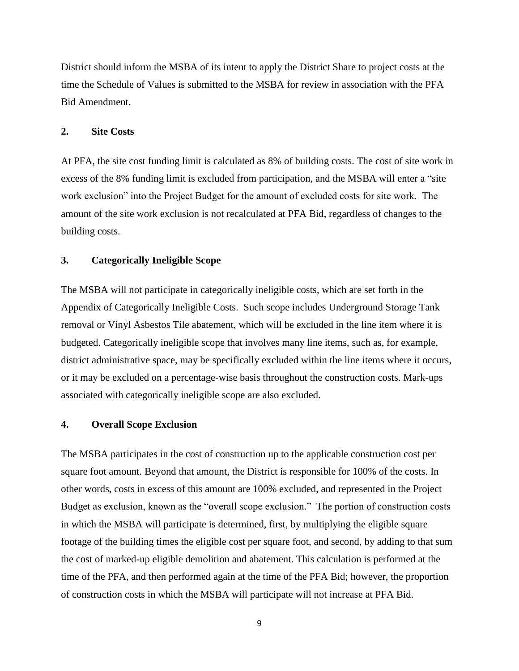District should inform the MSBA of its intent to apply the District Share to project costs at the time the Schedule of Values is submitted to the MSBA for review in association with the PFA Bid Amendment.

#### **2. Site Costs**

At PFA, the site cost funding limit is calculated as 8% of building costs. The cost of site work in excess of the 8% funding limit is excluded from participation, and the MSBA will enter a "site work exclusion" into the Project Budget for the amount of excluded costs for site work. The amount of the site work exclusion is not recalculated at PFA Bid, regardless of changes to the building costs.

#### **3. Categorically Ineligible Scope**

The MSBA will not participate in categorically ineligible costs, which are set forth in the Appendix of Categorically Ineligible Costs. Such scope includes Underground Storage Tank removal or Vinyl Asbestos Tile abatement, which will be excluded in the line item where it is budgeted. Categorically ineligible scope that involves many line items, such as, for example, district administrative space, may be specifically excluded within the line items where it occurs, or it may be excluded on a percentage-wise basis throughout the construction costs. Mark-ups associated with categorically ineligible scope are also excluded.

#### **4. Overall Scope Exclusion**

The MSBA participates in the cost of construction up to the applicable construction cost per square foot amount. Beyond that amount, the District is responsible for 100% of the costs. In other words, costs in excess of this amount are 100% excluded, and represented in the Project Budget as exclusion, known as the "overall scope exclusion." The portion of construction costs in which the MSBA will participate is determined, first, by multiplying the eligible square footage of the building times the eligible cost per square foot, and second, by adding to that sum the cost of marked-up eligible demolition and abatement. This calculation is performed at the time of the PFA, and then performed again at the time of the PFA Bid; however, the proportion of construction costs in which the MSBA will participate will not increase at PFA Bid.

9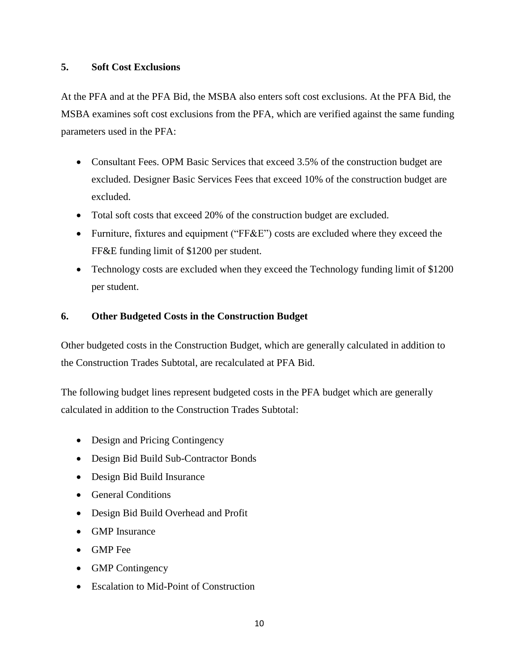#### **5. Soft Cost Exclusions**

At the PFA and at the PFA Bid, the MSBA also enters soft cost exclusions. At the PFA Bid, the MSBA examines soft cost exclusions from the PFA, which are verified against the same funding parameters used in the PFA:

- Consultant Fees. OPM Basic Services that exceed 3.5% of the construction budget are excluded. Designer Basic Services Fees that exceed 10% of the construction budget are excluded.
- Total soft costs that exceed 20% of the construction budget are excluded.
- Furniture, fixtures and equipment ("FF&E") costs are excluded where they exceed the FF&E funding limit of \$1200 per student.
- Technology costs are excluded when they exceed the Technology funding limit of \$1200 per student.

#### **6. Other Budgeted Costs in the Construction Budget**

Other budgeted costs in the Construction Budget, which are generally calculated in addition to the Construction Trades Subtotal, are recalculated at PFA Bid.

The following budget lines represent budgeted costs in the PFA budget which are generally calculated in addition to the Construction Trades Subtotal:

- Design and Pricing Contingency
- Design Bid Build Sub-Contractor Bonds
- Design Bid Build Insurance
- General Conditions
- Design Bid Build Overhead and Profit
- GMP Insurance
- GMP Fee
- GMP Contingency
- Escalation to Mid-Point of Construction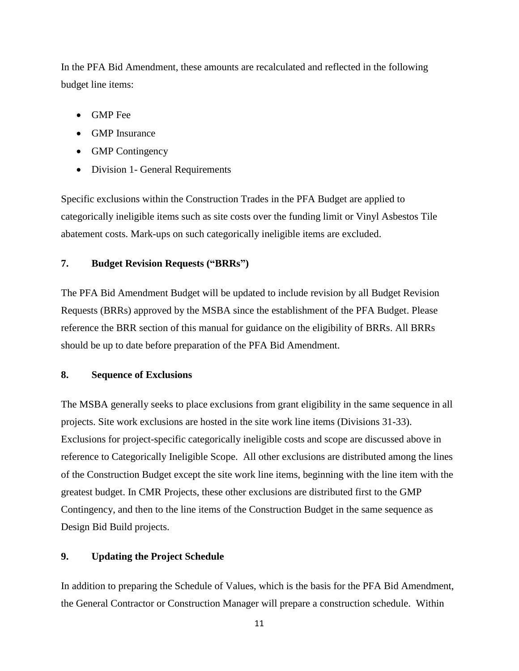In the PFA Bid Amendment, these amounts are recalculated and reflected in the following budget line items:

- GMP Fee
- GMP Insurance
- GMP Contingency
- Division 1- General Requirements

Specific exclusions within the Construction Trades in the PFA Budget are applied to categorically ineligible items such as site costs over the funding limit or Vinyl Asbestos Tile abatement costs. Mark-ups on such categorically ineligible items are excluded.

### **7. Budget Revision Requests ("BRRs")**

The PFA Bid Amendment Budget will be updated to include revision by all Budget Revision Requests (BRRs) approved by the MSBA since the establishment of the PFA Budget. Please reference the BRR section of this manual for guidance on the eligibility of BRRs. All BRRs should be up to date before preparation of the PFA Bid Amendment.

#### **8. Sequence of Exclusions**

The MSBA generally seeks to place exclusions from grant eligibility in the same sequence in all projects. Site work exclusions are hosted in the site work line items (Divisions 31-33). Exclusions for project-specific categorically ineligible costs and scope are discussed above in reference to Categorically Ineligible Scope. All other exclusions are distributed among the lines of the Construction Budget except the site work line items, beginning with the line item with the greatest budget. In CMR Projects, these other exclusions are distributed first to the GMP Contingency, and then to the line items of the Construction Budget in the same sequence as Design Bid Build projects.

#### **9. Updating the Project Schedule**

In addition to preparing the Schedule of Values, which is the basis for the PFA Bid Amendment, the General Contractor or Construction Manager will prepare a construction schedule. Within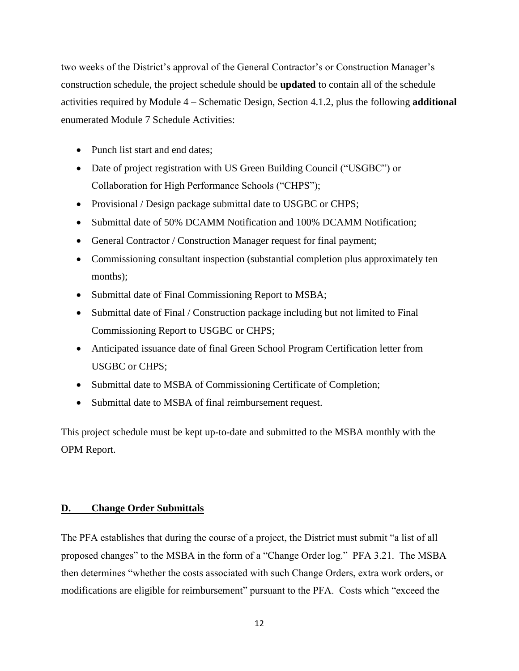two weeks of the District's approval of the General Contractor's or Construction Manager's construction schedule, the project schedule should be **updated** to contain all of the schedule activities required by Module 4 – Schematic Design, Section 4.1.2, plus the following **additional** enumerated Module 7 Schedule Activities:

- Punch list start and end dates;
- Date of project registration with US Green Building Council ("USGBC") or Collaboration for High Performance Schools ("CHPS");
- Provisional / Design package submittal date to USGBC or CHPS;
- Submittal date of 50% DCAMM Notification and 100% DCAMM Notification;
- General Contractor / Construction Manager request for final payment;
- Commissioning consultant inspection (substantial completion plus approximately ten months);
- Submittal date of Final Commissioning Report to MSBA;
- Submittal date of Final / Construction package including but not limited to Final Commissioning Report to USGBC or CHPS;
- Anticipated issuance date of final Green School Program Certification letter from USGBC or CHPS;
- Submittal date to MSBA of Commissioning Certificate of Completion;
- Submittal date to MSBA of final reimbursement request.

This project schedule must be kept up-to-date and submitted to the MSBA monthly with the OPM Report.

#### **D. Change Order Submittals**

The PFA establishes that during the course of a project, the District must submit "a list of all proposed changes" to the MSBA in the form of a "Change Order log." PFA 3.21. The MSBA then determines "whether the costs associated with such Change Orders, extra work orders, or modifications are eligible for reimbursement" pursuant to the PFA. Costs which "exceed the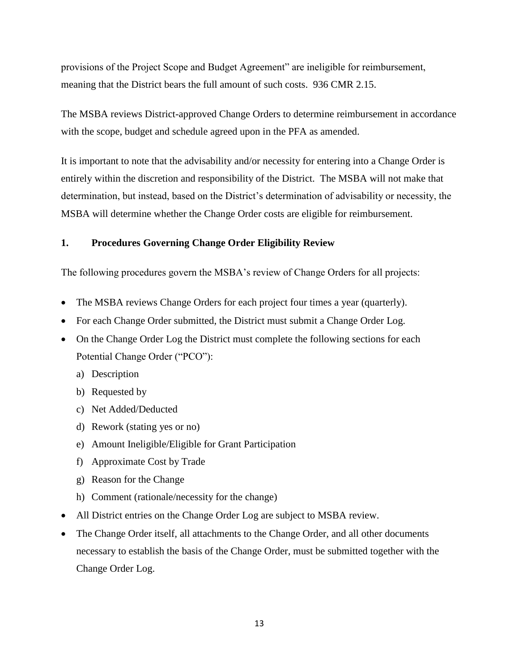provisions of the Project Scope and Budget Agreement" are ineligible for reimbursement, meaning that the District bears the full amount of such costs. 936 CMR 2.15.

The MSBA reviews District-approved Change Orders to determine reimbursement in accordance with the scope, budget and schedule agreed upon in the PFA as amended.

It is important to note that the advisability and/or necessity for entering into a Change Order is entirely within the discretion and responsibility of the District. The MSBA will not make that determination, but instead, based on the District's determination of advisability or necessity, the MSBA will determine whether the Change Order costs are eligible for reimbursement.

#### **1. Procedures Governing Change Order Eligibility Review**

The following procedures govern the MSBA's review of Change Orders for all projects:

- The MSBA reviews Change Orders for each project four times a year (quarterly).
- For each Change Order submitted, the District must submit a Change Order Log.
- On the Change Order Log the District must complete the following sections for each Potential Change Order ("PCO"):
	- a) Description
	- b) Requested by
	- c) Net Added/Deducted
	- d) Rework (stating yes or no)
	- e) Amount Ineligible/Eligible for Grant Participation
	- f) Approximate Cost by Trade
	- g) Reason for the Change
	- h) Comment (rationale/necessity for the change)
- All District entries on the Change Order Log are subject to MSBA review.
- The Change Order itself, all attachments to the Change Order, and all other documents necessary to establish the basis of the Change Order, must be submitted together with the Change Order Log.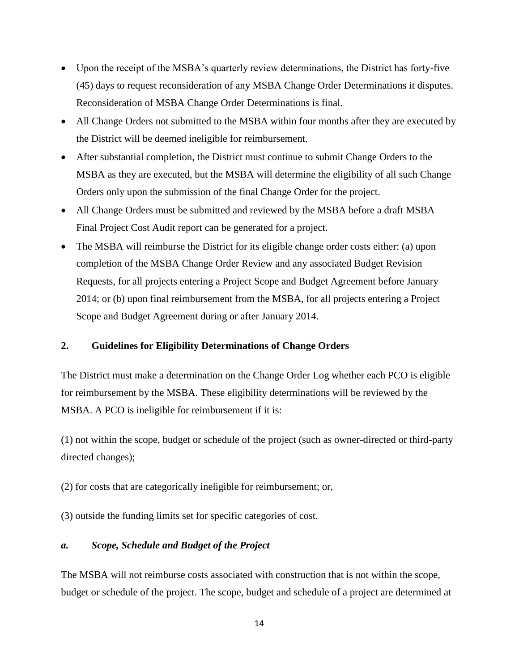- Upon the receipt of the MSBA's quarterly review determinations, the District has forty-five (45) days to request reconsideration of any MSBA Change Order Determinations it disputes. Reconsideration of MSBA Change Order Determinations is final.
- All Change Orders not submitted to the MSBA within four months after they are executed by the District will be deemed ineligible for reimbursement.
- After substantial completion, the District must continue to submit Change Orders to the MSBA as they are executed, but the MSBA will determine the eligibility of all such Change Orders only upon the submission of the final Change Order for the project.
- All Change Orders must be submitted and reviewed by the MSBA before a draft MSBA Final Project Cost Audit report can be generated for a project.
- The MSBA will reimburse the District for its eligible change order costs either: (a) upon completion of the MSBA Change Order Review and any associated Budget Revision Requests, for all projects entering a Project Scope and Budget Agreement before January 2014; or (b) upon final reimbursement from the MSBA, for all projects entering a Project Scope and Budget Agreement during or after January 2014.

#### **2. Guidelines for Eligibility Determinations of Change Orders**

The District must make a determination on the Change Order Log whether each PCO is eligible for reimbursement by the MSBA. These eligibility determinations will be reviewed by the MSBA. A PCO is ineligible for reimbursement if it is:

(1) not within the scope, budget or schedule of the project (such as owner-directed or third-party directed changes);

(2) for costs that are categorically ineligible for reimbursement; or,

(3) outside the funding limits set for specific categories of cost.

#### *a. Scope, Schedule and Budget of the Project*

The MSBA will not reimburse costs associated with construction that is not within the scope, budget or schedule of the project. The scope, budget and schedule of a project are determined at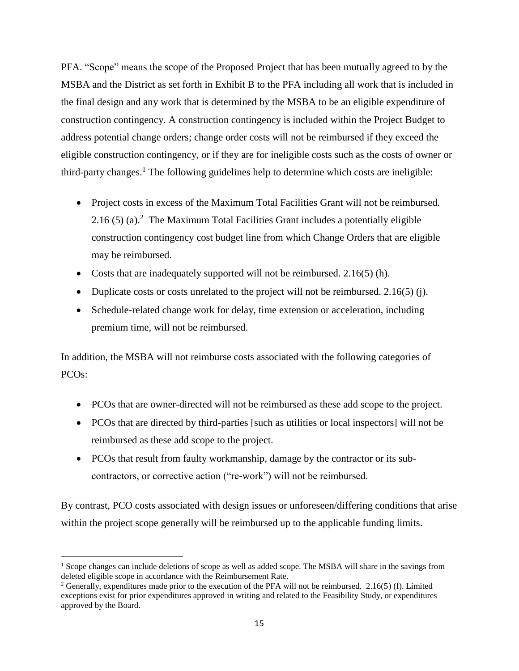PFA. "Scope" means the scope of the Proposed Project that has been mutually agreed to by the MSBA and the District as set forth in Exhibit B to the PFA including all work that is included in the final design and any work that is determined by the MSBA to be an eligible expenditure of construction contingency. A construction contingency is included within the Project Budget to address potential change orders; change order costs will not be reimbursed if they exceed the eligible construction contingency, or if they are for ineligible costs such as the costs of owner or third-party changes.<sup>1</sup> The following guidelines help to determine which costs are ineligible:

- Project costs in excess of the Maximum Total Facilities Grant will not be reimbursed.  $2.16$  (5) (a).<sup>2</sup> The Maximum Total Facilities Grant includes a potentially eligible construction contingency cost budget line from which Change Orders that are eligible may be reimbursed.
- Costs that are inadequately supported will not be reimbursed. 2.16(5) (h).
- Duplicate costs or costs unrelated to the project will not be reimbursed.  $2.16(5)$  (j).
- Schedule-related change work for delay, time extension or acceleration, including premium time, will not be reimbursed.

In addition, the MSBA will not reimburse costs associated with the following categories of PCOs:

- PCOs that are owner-directed will not be reimbursed as these add scope to the project.
- PCOs that are directed by third-parties [such as utilities or local inspectors] will not be reimbursed as these add scope to the project.
- PCOs that result from faulty workmanship, damage by the contractor or its subcontractors, or corrective action ("re-work") will not be reimbursed.

By contrast, PCO costs associated with design issues or unforeseen/differing conditions that arise within the project scope generally will be reimbursed up to the applicable funding limits.

l

<sup>&</sup>lt;sup>1</sup> Scope changes can include deletions of scope as well as added scope. The MSBA will share in the savings from deleted eligible scope in accordance with the Reimbursement Rate.

<sup>2</sup> Generally, expenditures made prior to the execution of the PFA will not be reimbursed. 2.16(5) (f). Limited exceptions exist for prior expenditures approved in writing and related to the Feasibility Study, or expenditures approved by the Board.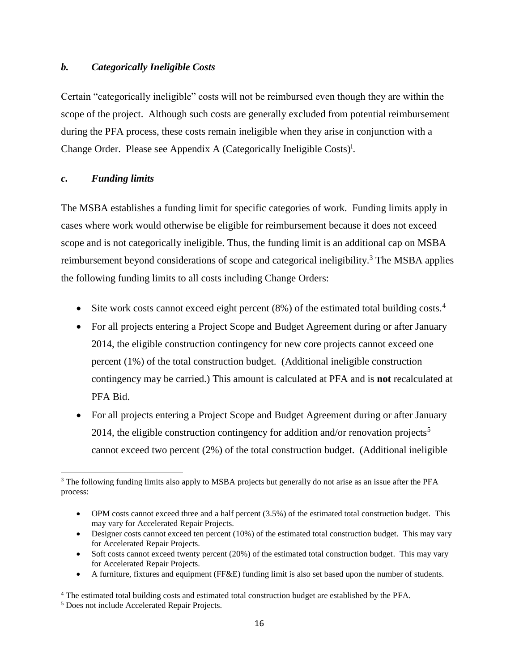#### *b. Categorically Ineligible Costs*

Certain "categorically ineligible" costs will not be reimbursed even though they are within the scope of the project. Although such costs are generally excluded from potential reimbursement during the PFA process, these costs remain ineligible when they arise in conjunction with a Change Order. Please see Appendix A (Categorically Ineligible Costs)<sup>i</sup>.

#### *c. Funding limits*

 $\overline{a}$ 

The MSBA establishes a funding limit for specific categories of work. Funding limits apply in cases where work would otherwise be eligible for reimbursement because it does not exceed scope and is not categorically ineligible. Thus, the funding limit is an additional cap on MSBA reimbursement beyond considerations of scope and categorical ineligibility.<sup>3</sup> The MSBA applies the following funding limits to all costs including Change Orders:

- Site work costs cannot exceed eight percent  $(8%)$  of the estimated total building costs.<sup>4</sup>
- For all projects entering a Project Scope and Budget Agreement during or after January 2014, the eligible construction contingency for new core projects cannot exceed one percent (1%) of the total construction budget. (Additional ineligible construction contingency may be carried.) This amount is calculated at PFA and is **not** recalculated at PFA Bid.
- For all projects entering a Project Scope and Budget Agreement during or after January 2014, the eligible construction contingency for addition and/or renovation projects<sup>5</sup> cannot exceed two percent (2%) of the total construction budget. (Additional ineligible

• A furniture, fixtures and equipment (FF&E) funding limit is also set based upon the number of students.

<sup>&</sup>lt;sup>3</sup> The following funding limits also apply to MSBA projects but generally do not arise as an issue after the PFA process:

<sup>•</sup> OPM costs cannot exceed three and a half percent (3.5%) of the estimated total construction budget. This may vary for Accelerated Repair Projects.

<sup>•</sup> Designer costs cannot exceed ten percent (10%) of the estimated total construction budget. This may vary for Accelerated Repair Projects.

<sup>•</sup> Soft costs cannot exceed twenty percent (20%) of the estimated total construction budget. This may vary for Accelerated Repair Projects.

<sup>4</sup> The estimated total building costs and estimated total construction budget are established by the PFA.

<sup>5</sup> Does not include Accelerated Repair Projects.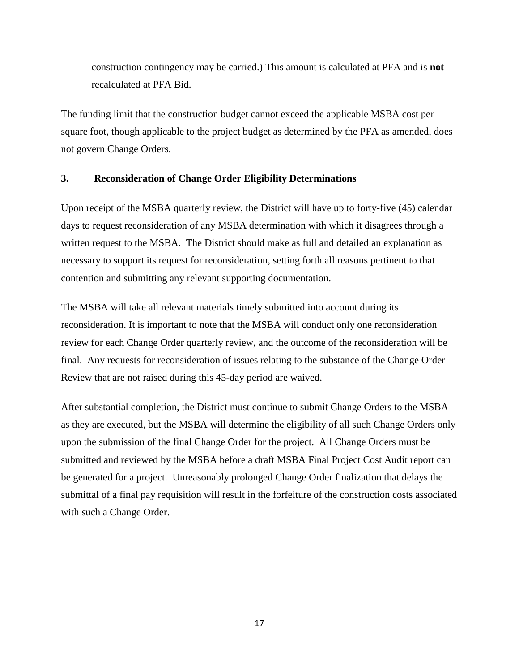construction contingency may be carried.) This amount is calculated at PFA and is **not** recalculated at PFA Bid.

The funding limit that the construction budget cannot exceed the applicable MSBA cost per square foot, though applicable to the project budget as determined by the PFA as amended, does not govern Change Orders.

#### **3. Reconsideration of Change Order Eligibility Determinations**

Upon receipt of the MSBA quarterly review, the District will have up to forty-five (45) calendar days to request reconsideration of any MSBA determination with which it disagrees through a written request to the MSBA. The District should make as full and detailed an explanation as necessary to support its request for reconsideration, setting forth all reasons pertinent to that contention and submitting any relevant supporting documentation.

The MSBA will take all relevant materials timely submitted into account during its reconsideration. It is important to note that the MSBA will conduct only one reconsideration review for each Change Order quarterly review, and the outcome of the reconsideration will be final. Any requests for reconsideration of issues relating to the substance of the Change Order Review that are not raised during this 45-day period are waived.

After substantial completion, the District must continue to submit Change Orders to the MSBA as they are executed, but the MSBA will determine the eligibility of all such Change Orders only upon the submission of the final Change Order for the project. All Change Orders must be submitted and reviewed by the MSBA before a draft MSBA Final Project Cost Audit report can be generated for a project. Unreasonably prolonged Change Order finalization that delays the submittal of a final pay requisition will result in the forfeiture of the construction costs associated with such a Change Order.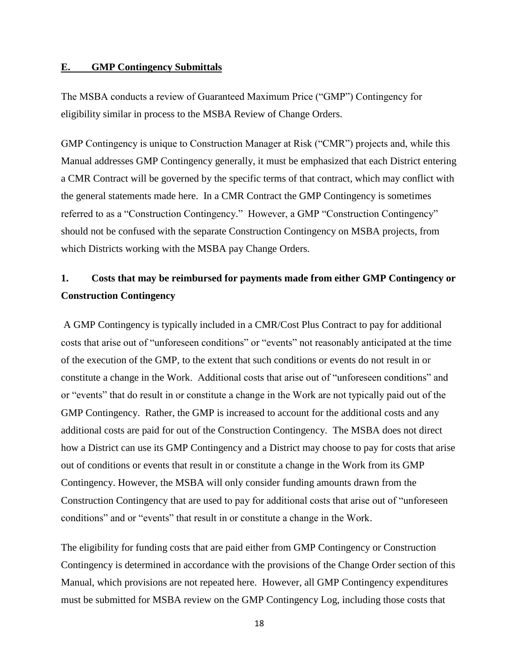#### **E. GMP Contingency Submittals**

The MSBA conducts a review of Guaranteed Maximum Price ("GMP") Contingency for eligibility similar in process to the MSBA Review of Change Orders.

GMP Contingency is unique to Construction Manager at Risk ("CMR") projects and, while this Manual addresses GMP Contingency generally, it must be emphasized that each District entering a CMR Contract will be governed by the specific terms of that contract, which may conflict with the general statements made here. In a CMR Contract the GMP Contingency is sometimes referred to as a "Construction Contingency." However, a GMP "Construction Contingency" should not be confused with the separate Construction Contingency on MSBA projects, from which Districts working with the MSBA pay Change Orders.

# **1. Costs that may be reimbursed for payments made from either GMP Contingency or Construction Contingency**

A GMP Contingency is typically included in a CMR/Cost Plus Contract to pay for additional costs that arise out of "unforeseen conditions" or "events" not reasonably anticipated at the time of the execution of the GMP, to the extent that such conditions or events do not result in or constitute a change in the Work. Additional costs that arise out of "unforeseen conditions" and or "events" that do result in or constitute a change in the Work are not typically paid out of the GMP Contingency. Rather, the GMP is increased to account for the additional costs and any additional costs are paid for out of the Construction Contingency. The MSBA does not direct how a District can use its GMP Contingency and a District may choose to pay for costs that arise out of conditions or events that result in or constitute a change in the Work from its GMP Contingency. However, the MSBA will only consider funding amounts drawn from the Construction Contingency that are used to pay for additional costs that arise out of "unforeseen conditions" and or "events" that result in or constitute a change in the Work.

The eligibility for funding costs that are paid either from GMP Contingency or Construction Contingency is determined in accordance with the provisions of the Change Order section of this Manual, which provisions are not repeated here. However, all GMP Contingency expenditures must be submitted for MSBA review on the GMP Contingency Log, including those costs that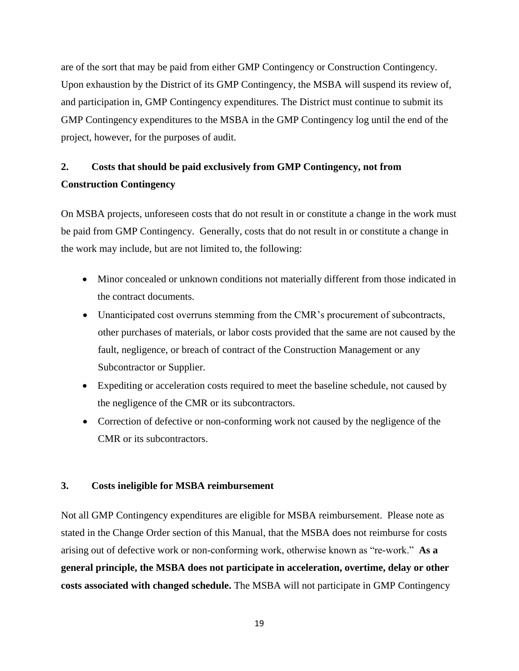are of the sort that may be paid from either GMP Contingency or Construction Contingency. Upon exhaustion by the District of its GMP Contingency, the MSBA will suspend its review of, and participation in, GMP Contingency expenditures. The District must continue to submit its GMP Contingency expenditures to the MSBA in the GMP Contingency log until the end of the project, however, for the purposes of audit.

# **2. Costs that should be paid exclusively from GMP Contingency, not from Construction Contingency**

On MSBA projects, unforeseen costs that do not result in or constitute a change in the work must be paid from GMP Contingency. Generally, costs that do not result in or constitute a change in the work may include, but are not limited to, the following:

- Minor concealed or unknown conditions not materially different from those indicated in the contract documents.
- Unanticipated cost overruns stemming from the CMR's procurement of subcontracts, other purchases of materials, or labor costs provided that the same are not caused by the fault, negligence, or breach of contract of the Construction Management or any Subcontractor or Supplier.
- Expediting or acceleration costs required to meet the baseline schedule, not caused by the negligence of the CMR or its subcontractors.
- Correction of defective or non-conforming work not caused by the negligence of the CMR or its subcontractors.

#### **3. Costs ineligible for MSBA reimbursement**

Not all GMP Contingency expenditures are eligible for MSBA reimbursement. Please note as stated in the Change Order section of this Manual, that the MSBA does not reimburse for costs arising out of defective work or non-conforming work, otherwise known as "re-work." **As a general principle, the MSBA does not participate in acceleration, overtime, delay or other costs associated with changed schedule.** The MSBA will not participate in GMP Contingency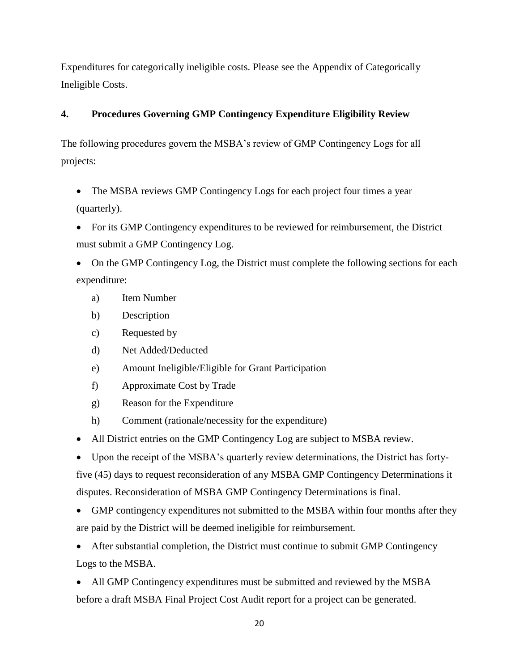Expenditures for categorically ineligible costs. Please see the Appendix of Categorically Ineligible Costs.

# **4. Procedures Governing GMP Contingency Expenditure Eligibility Review**

The following procedures govern the MSBA's review of GMP Contingency Logs for all projects:

- The MSBA reviews GMP Contingency Logs for each project four times a year (quarterly).
- For its GMP Contingency expenditures to be reviewed for reimbursement, the District must submit a GMP Contingency Log.

• On the GMP Contingency Log, the District must complete the following sections for each expenditure:

- a) Item Number
- b) Description
- c) Requested by
- d) Net Added/Deducted
- e) Amount Ineligible/Eligible for Grant Participation
- f) Approximate Cost by Trade
- g) Reason for the Expenditure
- h) Comment (rationale/necessity for the expenditure)
- All District entries on the GMP Contingency Log are subject to MSBA review.
- Upon the receipt of the MSBA's quarterly review determinations, the District has fortyfive (45) days to request reconsideration of any MSBA GMP Contingency Determinations it

disputes. Reconsideration of MSBA GMP Contingency Determinations is final.

• GMP contingency expenditures not submitted to the MSBA within four months after they are paid by the District will be deemed ineligible for reimbursement.

• After substantial completion, the District must continue to submit GMP Contingency Logs to the MSBA.

• All GMP Contingency expenditures must be submitted and reviewed by the MSBA before a draft MSBA Final Project Cost Audit report for a project can be generated.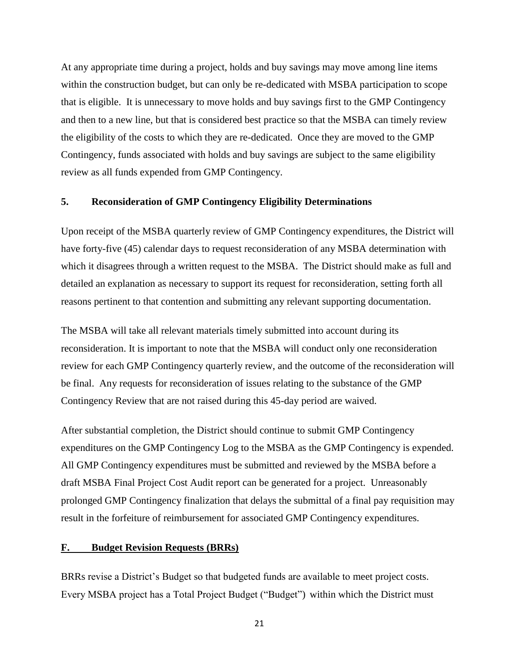At any appropriate time during a project, holds and buy savings may move among line items within the construction budget, but can only be re-dedicated with MSBA participation to scope that is eligible. It is unnecessary to move holds and buy savings first to the GMP Contingency and then to a new line, but that is considered best practice so that the MSBA can timely review the eligibility of the costs to which they are re-dedicated. Once they are moved to the GMP Contingency, funds associated with holds and buy savings are subject to the same eligibility review as all funds expended from GMP Contingency.

#### **5. Reconsideration of GMP Contingency Eligibility Determinations**

Upon receipt of the MSBA quarterly review of GMP Contingency expenditures, the District will have forty-five (45) calendar days to request reconsideration of any MSBA determination with which it disagrees through a written request to the MSBA. The District should make as full and detailed an explanation as necessary to support its request for reconsideration, setting forth all reasons pertinent to that contention and submitting any relevant supporting documentation.

The MSBA will take all relevant materials timely submitted into account during its reconsideration. It is important to note that the MSBA will conduct only one reconsideration review for each GMP Contingency quarterly review, and the outcome of the reconsideration will be final. Any requests for reconsideration of issues relating to the substance of the GMP Contingency Review that are not raised during this 45-day period are waived.

After substantial completion, the District should continue to submit GMP Contingency expenditures on the GMP Contingency Log to the MSBA as the GMP Contingency is expended. All GMP Contingency expenditures must be submitted and reviewed by the MSBA before a draft MSBA Final Project Cost Audit report can be generated for a project. Unreasonably prolonged GMP Contingency finalization that delays the submittal of a final pay requisition may result in the forfeiture of reimbursement for associated GMP Contingency expenditures.

#### **F. Budget Revision Requests (BRRs)**

BRRs revise a District's Budget so that budgeted funds are available to meet project costs. Every MSBA project has a Total Project Budget ("Budget") within which the District must

21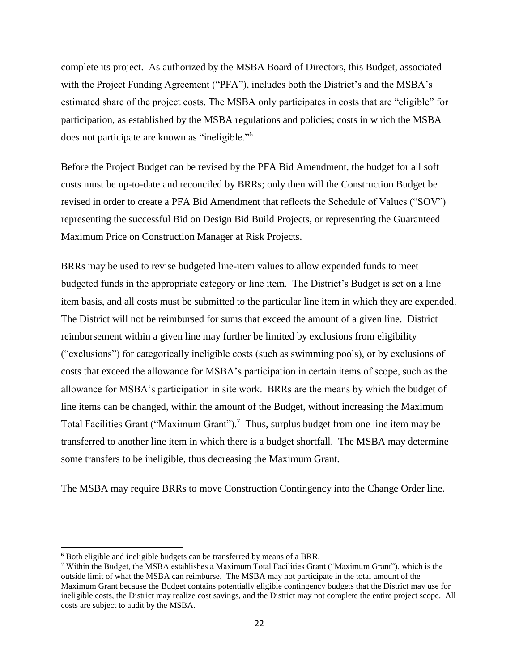complete its project. As authorized by the MSBA Board of Directors, this Budget, associated with the Project Funding Agreement ("PFA"), includes both the District's and the MSBA's estimated share of the project costs. The MSBA only participates in costs that are "eligible" for participation, as established by the MSBA regulations and policies; costs in which the MSBA does not participate are known as "ineligible."<sup>6</sup>

Before the Project Budget can be revised by the PFA Bid Amendment, the budget for all soft costs must be up-to-date and reconciled by BRRs; only then will the Construction Budget be revised in order to create a PFA Bid Amendment that reflects the Schedule of Values ("SOV") representing the successful Bid on Design Bid Build Projects, or representing the Guaranteed Maximum Price on Construction Manager at Risk Projects.

BRRs may be used to revise budgeted line-item values to allow expended funds to meet budgeted funds in the appropriate category or line item. The District's Budget is set on a line item basis, and all costs must be submitted to the particular line item in which they are expended. The District will not be reimbursed for sums that exceed the amount of a given line. District reimbursement within a given line may further be limited by exclusions from eligibility ("exclusions") for categorically ineligible costs (such as swimming pools), or by exclusions of costs that exceed the allowance for MSBA's participation in certain items of scope, such as the allowance for MSBA's participation in site work. BRRs are the means by which the budget of line items can be changed, within the amount of the Budget, without increasing the Maximum Total Facilities Grant ("Maximum Grant").<sup>7</sup> Thus, surplus budget from one line item may be transferred to another line item in which there is a budget shortfall. The MSBA may determine some transfers to be ineligible, thus decreasing the Maximum Grant.

The MSBA may require BRRs to move Construction Contingency into the Change Order line.

 $\overline{\phantom{a}}$ 

<sup>6</sup> Both eligible and ineligible budgets can be transferred by means of a BRR.

<sup>7</sup> Within the Budget, the MSBA establishes a Maximum Total Facilities Grant ("Maximum Grant"), which is the outside limit of what the MSBA can reimburse. The MSBA may not participate in the total amount of the Maximum Grant because the Budget contains potentially eligible contingency budgets that the District may use for ineligible costs, the District may realize cost savings, and the District may not complete the entire project scope. All costs are subject to audit by the MSBA.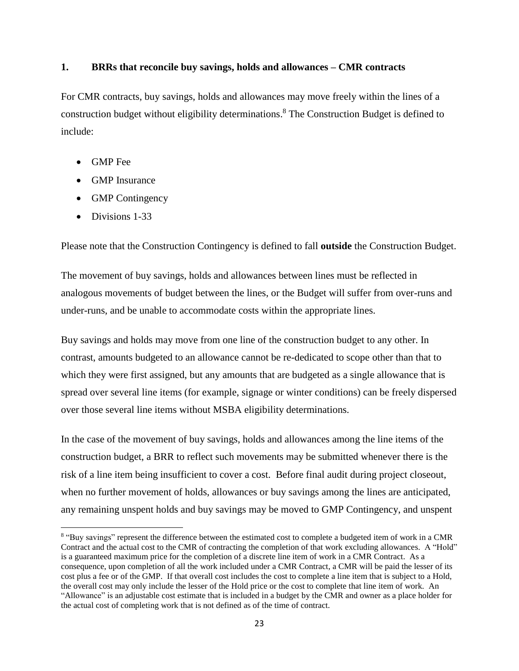#### **1. BRRs that reconcile buy savings, holds and allowances – CMR contracts**

For CMR contracts, buy savings, holds and allowances may move freely within the lines of a construction budget without eligibility determinations. <sup>8</sup> The Construction Budget is defined to include:

- GMP Fee
- GMP Insurance
- GMP Contingency
- Divisions 1-33

 $\overline{a}$ 

Please note that the Construction Contingency is defined to fall **outside** the Construction Budget.

The movement of buy savings, holds and allowances between lines must be reflected in analogous movements of budget between the lines, or the Budget will suffer from over-runs and under-runs, and be unable to accommodate costs within the appropriate lines.

Buy savings and holds may move from one line of the construction budget to any other. In contrast, amounts budgeted to an allowance cannot be re-dedicated to scope other than that to which they were first assigned, but any amounts that are budgeted as a single allowance that is spread over several line items (for example, signage or winter conditions) can be freely dispersed over those several line items without MSBA eligibility determinations.

In the case of the movement of buy savings, holds and allowances among the line items of the construction budget, a BRR to reflect such movements may be submitted whenever there is the risk of a line item being insufficient to cover a cost. Before final audit during project closeout, when no further movement of holds, allowances or buy savings among the lines are anticipated, any remaining unspent holds and buy savings may be moved to GMP Contingency, and unspent

<sup>&</sup>lt;sup>8</sup> "Buy savings" represent the difference between the estimated cost to complete a budgeted item of work in a CMR Contract and the actual cost to the CMR of contracting the completion of that work excluding allowances. A "Hold" is a guaranteed maximum price for the completion of a discrete line item of work in a CMR Contract. As a consequence, upon completion of all the work included under a CMR Contract, a CMR will be paid the lesser of its cost plus a fee or of the GMP. If that overall cost includes the cost to complete a line item that is subject to a Hold, the overall cost may only include the lesser of the Hold price or the cost to complete that line item of work. An "Allowance" is an adjustable cost estimate that is included in a budget by the CMR and owner as a place holder for the actual cost of completing work that is not defined as of the time of contract.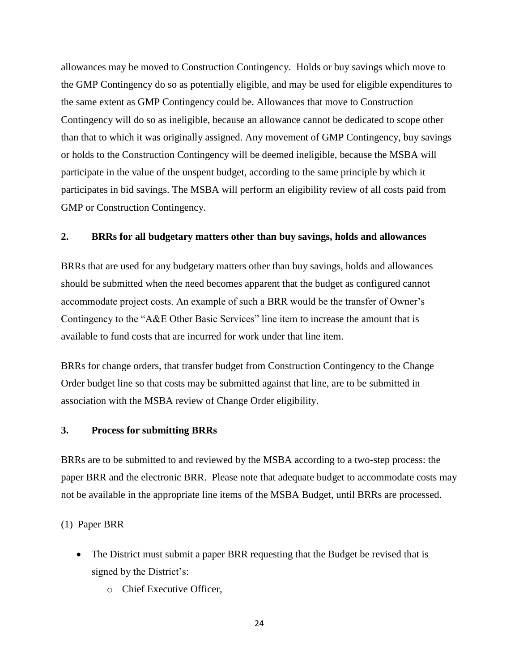allowances may be moved to Construction Contingency. Holds or buy savings which move to the GMP Contingency do so as potentially eligible, and may be used for eligible expenditures to the same extent as GMP Contingency could be. Allowances that move to Construction Contingency will do so as ineligible, because an allowance cannot be dedicated to scope other than that to which it was originally assigned. Any movement of GMP Contingency, buy savings or holds to the Construction Contingency will be deemed ineligible, because the MSBA will participate in the value of the unspent budget, according to the same principle by which it participates in bid savings. The MSBA will perform an eligibility review of all costs paid from GMP or Construction Contingency.

#### **2. BRRs for all budgetary matters other than buy savings, holds and allowances**

BRRs that are used for any budgetary matters other than buy savings, holds and allowances should be submitted when the need becomes apparent that the budget as configured cannot accommodate project costs. An example of such a BRR would be the transfer of Owner's Contingency to the "A&E Other Basic Services" line item to increase the amount that is available to fund costs that are incurred for work under that line item.

BRRs for change orders, that transfer budget from Construction Contingency to the Change Order budget line so that costs may be submitted against that line, are to be submitted in association with the MSBA review of Change Order eligibility.

#### **3. Process for submitting BRRs**

BRRs are to be submitted to and reviewed by the MSBA according to a two-step process: the paper BRR and the electronic BRR. Please note that adequate budget to accommodate costs may not be available in the appropriate line items of the MSBA Budget, until BRRs are processed.

(1) Paper BRR

- The District must submit a paper BRR requesting that the Budget be revised that is signed by the District's:
	- o Chief Executive Officer,

24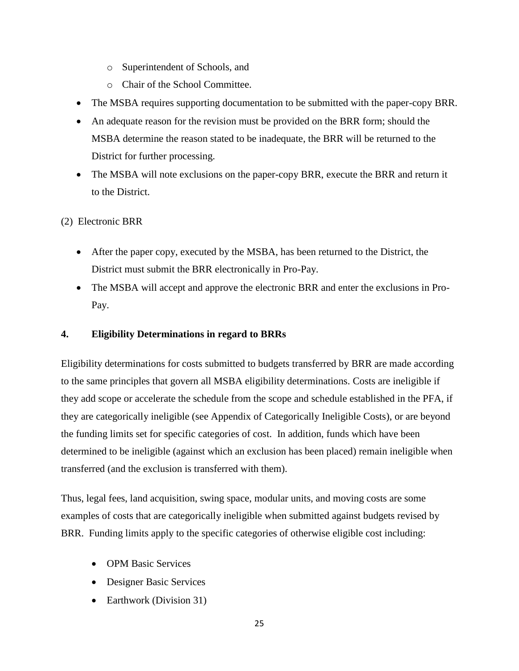- o Superintendent of Schools, and
- o Chair of the School Committee.
- The MSBA requires supporting documentation to be submitted with the paper-copy BRR.
- An adequate reason for the revision must be provided on the BRR form; should the MSBA determine the reason stated to be inadequate, the BRR will be returned to the District for further processing.
- The MSBA will note exclusions on the paper-copy BRR, execute the BRR and return it to the District.

(2) Electronic BRR

- After the paper copy, executed by the MSBA, has been returned to the District, the District must submit the BRR electronically in Pro-Pay.
- The MSBA will accept and approve the electronic BRR and enter the exclusions in Pro-Pay.

## **4. Eligibility Determinations in regard to BRRs**

Eligibility determinations for costs submitted to budgets transferred by BRR are made according to the same principles that govern all MSBA eligibility determinations. Costs are ineligible if they add scope or accelerate the schedule from the scope and schedule established in the PFA, if they are categorically ineligible (see Appendix of Categorically Ineligible Costs), or are beyond the funding limits set for specific categories of cost. In addition, funds which have been determined to be ineligible (against which an exclusion has been placed) remain ineligible when transferred (and the exclusion is transferred with them).

Thus, legal fees, land acquisition, swing space, modular units, and moving costs are some examples of costs that are categorically ineligible when submitted against budgets revised by BRR. Funding limits apply to the specific categories of otherwise eligible cost including:

- OPM Basic Services
- Designer Basic Services
- Earthwork (Division 31)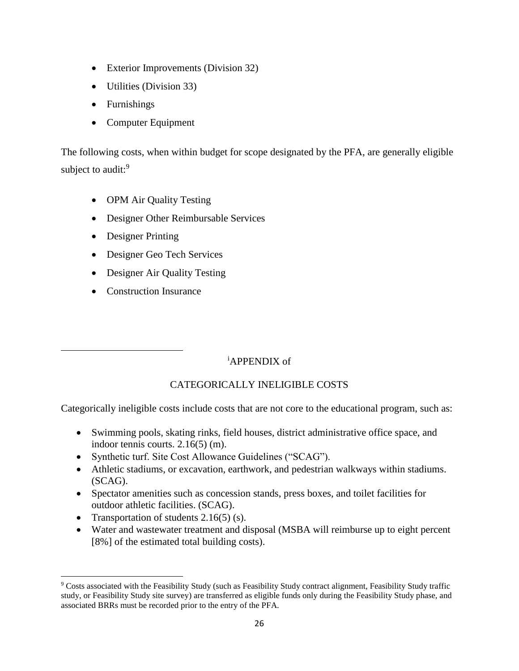- Exterior Improvements (Division 32)
- Utilities (Division 33)
- Furnishings
- Computer Equipment

The following costs, when within budget for scope designated by the PFA, are generally eligible subject to audit:<sup>9</sup>

- OPM Air Quality Testing
- Designer Other Reimbursable Services
- Designer Printing
- Designer Geo Tech Services
- Designer Air Quality Testing
- Construction Insurance

 $\overline{a}$ 

 $\overline{\phantom{a}}$ 

# <sup>i</sup>APPENDIX of

# CATEGORICALLY INELIGIBLE COSTS

Categorically ineligible costs include costs that are not core to the educational program, such as:

- Swimming pools, skating rinks, field houses, district administrative office space, and indoor tennis courts. 2.16(5) (m).
- Synthetic turf. Site Cost Allowance Guidelines ("SCAG").
- Athletic stadiums, or excavation, earthwork, and pedestrian walkways within stadiums. (SCAG).
- Spectator amenities such as concession stands, press boxes, and toilet facilities for outdoor athletic facilities. (SCAG).
- Transportation of students  $2.16(5)$  (s).
- Water and wastewater treatment and disposal (MSBA will reimburse up to eight percent [8%] of the estimated total building costs).

<sup>9</sup> Costs associated with the Feasibility Study (such as Feasibility Study contract alignment, Feasibility Study traffic study, or Feasibility Study site survey) are transferred as eligible funds only during the Feasibility Study phase, and associated BRRs must be recorded prior to the entry of the PFA.